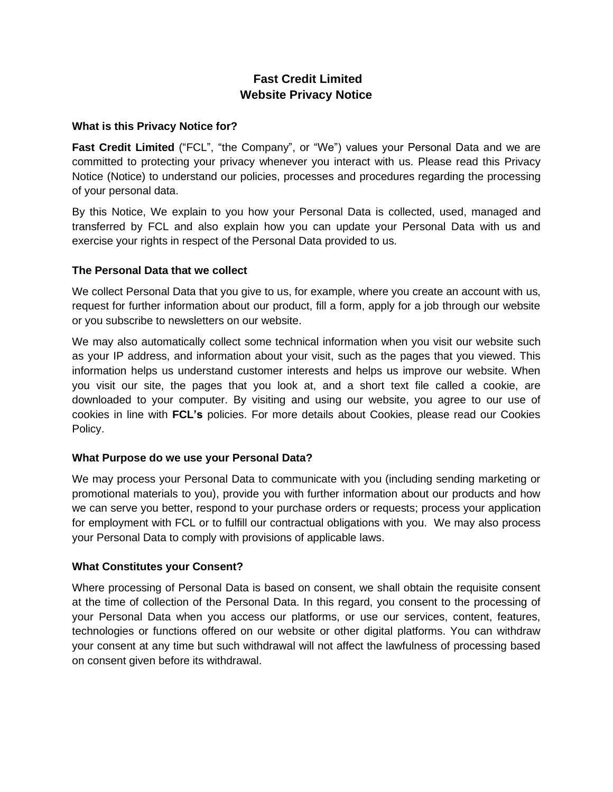# **Fast Credit Limited Website Privacy Notice**

# **What is this Privacy Notice for?**

**Fast Credit Limited** ("FCL", "the Company", or "We") values your Personal Data and we are committed to protecting your privacy whenever you interact with us. Please read this Privacy Notice (Notice) to understand our policies, processes and procedures regarding the processing of your personal data.

By this Notice, We explain to you how your Personal Data is collected, used, managed and transferred by FCL and also explain how you can update your Personal Data with us and exercise your rights in respect of the Personal Data provided to us.

## **The Personal Data that we collect**

We collect Personal Data that you give to us, for example, where you create an account with us, request for further information about our product, fill a form, apply for a job through our website or you subscribe to newsletters on our website.

We may also automatically collect some technical information when you visit our website such as your IP address, and information about your visit, such as the pages that you viewed. This information helps us understand customer interests and helps us improve our website. When you visit our site, the pages that you look at, and a short text file called a cookie, are downloaded to your computer. By visiting and using our website, you agree to our use of cookies in line with **FCL's** policies. For more details about Cookies, please read our Cookies Policy.

## **What Purpose do we use your Personal Data?**

We may process your Personal Data to communicate with you (including sending marketing or promotional materials to you), provide you with further information about our products and how we can serve you better, respond to your purchase orders or requests; process your application for employment with FCL or to fulfill our contractual obligations with you. We may also process your Personal Data to comply with provisions of applicable laws.

## **What Constitutes your Consent?**

Where processing of Personal Data is based on consent, we shall obtain the requisite consent at the time of collection of the Personal Data. In this regard, you consent to the processing of your Personal Data when you access our platforms, or use our services, content, features, technologies or functions offered on our website or other digital platforms. You can withdraw your consent at any time but such withdrawal will not affect the lawfulness of processing based on consent given before its withdrawal.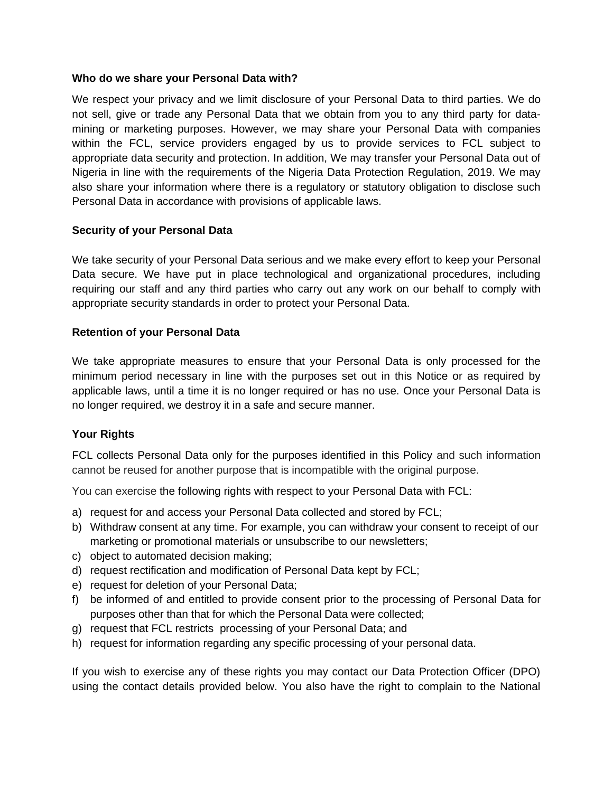#### **Who do we share your Personal Data with?**

We respect your privacy and we limit disclosure of your Personal Data to third parties. We do not sell, give or trade any Personal Data that we obtain from you to any third party for datamining or marketing purposes. However, we may share your Personal Data with companies within the FCL, service providers engaged by us to provide services to FCL subject to appropriate data security and protection. In addition, We may transfer your Personal Data out of Nigeria in line with the requirements of the Nigeria Data Protection Regulation, 2019. We may also share your information where there is a regulatory or statutory obligation to disclose such Personal Data in accordance with provisions of applicable laws.

## **Security of your Personal Data**

We take security of your Personal Data serious and we make every effort to keep your Personal Data secure. We have put in place technological and organizational procedures, including requiring our staff and any third parties who carry out any work on our behalf to comply with appropriate security standards in order to protect your Personal Data.

#### **Retention of your Personal Data**

We take appropriate measures to ensure that your Personal Data is only processed for the minimum period necessary in line with the purposes set out in this Notice or as required by applicable laws, until a time it is no longer required or has no use. Once your Personal Data is no longer required, we destroy it in a safe and secure manner.

## **Your Rights**

FCL collects Personal Data only for the purposes identified in this Policy and such information cannot be reused for another purpose that is incompatible with the original purpose.

You can exercise the following rights with respect to your Personal Data with FCL:

- a) request for and access your Personal Data collected and stored by FCL;
- b) Withdraw consent at any time. For example, you can withdraw your consent to receipt of our marketing or promotional materials or unsubscribe to our newsletters;
- c) object to automated decision making;
- d) request rectification and modification of Personal Data kept by FCL;
- e) request for deletion of your Personal Data;
- f) be informed of and entitled to provide consent prior to the processing of Personal Data for purposes other than that for which the Personal Data were collected;
- g) request that FCL restricts processing of your Personal Data; and
- h) request for information regarding any specific processing of your personal data.

If you wish to exercise any of these rights you may contact our Data Protection Officer (DPO) using the contact details provided below. You also have the right to complain to the National